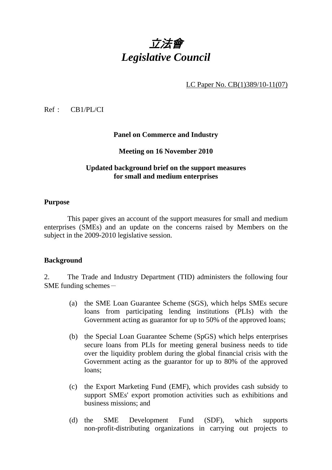

LC Paper No. CB(1)389/10-11(07)

Ref : CB1/PL/CI

### **Panel on Commerce and Industry**

### **Meeting on 16 November 2010**

### **Updated background brief on the support measures for small and medium enterprises**

### **Purpose**

 This paper gives an account of the support measures for small and medium enterprises (SMEs) and an update on the concerns raised by Members on the subject in the 2009-2010 legislative session.

### **Background**

2. The Trade and Industry Department (TID) administers the following four SME funding schemes $-$ 

- (a) the SME Loan Guarantee Scheme (SGS), which helps SMEs secure loans from participating lending institutions (PLIs) with the Government acting as guarantor for up to 50% of the approved loans;
- (b) the Special Loan Guarantee Scheme (SpGS) which helps enterprises secure loans from PLIs for meeting general business needs to tide over the liquidity problem during the global financial crisis with the Government acting as the guarantor for up to 80% of the approved loans;
- (c) the Export Marketing Fund (EMF), which provides cash subsidy to support SMEs' export promotion activities such as exhibitions and business missions; and
- (d) the SME Development Fund (SDF), which supports non-profit-distributing organizations in carrying out projects to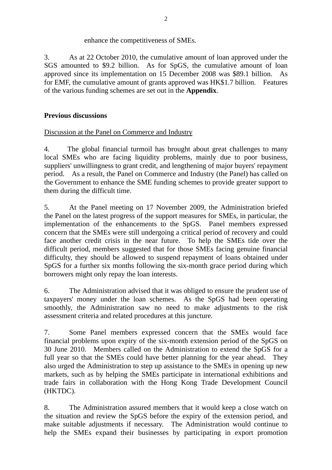## enhance the competitiveness of SMEs.

3. As at 22 October 2010, the cumulative amount of loan approved under the SGS amounted to \$9.2 billion. As for SpGS, the cumulative amount of loan approved since its implementation on 15 December 2008 was \$89.1 billion. As for EMF, the cumulative amount of grants approved was HK\$1.7 billion. Features of the various funding schemes are set out in the **Appendix**.

## **Previous discussions**

# Discussion at the Panel on Commerce and Industry

4. The global financial turmoil has brought about great challenges to many local SMEs who are facing liquidity problems, mainly due to poor business, suppliers' unwillingness to grant credit, and lengthening of major buyers' repayment period. As a result, the Panel on Commerce and Industry (the Panel) has called on the Government to enhance the SME funding schemes to provide greater support to them during the difficult time.

5. At the Panel meeting on 17 November 2009, the Administration briefed the Panel on the latest progress of the support measures for SMEs, in particular, the implementation of the enhancements to the SpGS. Panel members expressed concern that the SMEs were still undergoing a critical period of recovery and could face another credit crisis in the near future. To help the SMEs tide over the difficult period, members suggested that for those SMEs facing genuine financial difficulty, they should be allowed to suspend repayment of loans obtained under SpGS for a further six months following the six-month grace period during which borrowers might only repay the loan interests.

6. The Administration advised that it was obliged to ensure the prudent use of taxpayers' money under the loan schemes. As the SpGS had been operating smoothly, the Administration saw no need to make adjustments to the risk assessment criteria and related procedures at this juncture.

7. Some Panel members expressed concern that the SMEs would face financial problems upon expiry of the six-month extension period of the SpGS on 30 June 2010. Members called on the Administration to extend the SpGS for a full year so that the SMEs could have better planning for the year ahead. They also urged the Administration to step up assistance to the SMEs in opening up new markets, such as by helping the SMEs participate in international exhibitions and trade fairs in collaboration with the Hong Kong Trade Development Council (HKTDC).

8. The Administration assured members that it would keep a close watch on the situation and review the SpGS before the expiry of the extension period, and make suitable adjustments if necessary. The Administration would continue to help the SMEs expand their businesses by participating in export promotion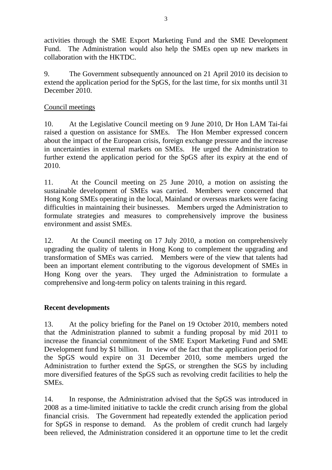activities through the SME Export Marketing Fund and the SME Development Fund. The Administration would also help the SMEs open up new markets in collaboration with the HKTDC.

9. The Government subsequently announced on 21 April 2010 its decision to extend the application period for the SpGS, for the last time, for six months until 31 December 2010.

# Council meetings

10. At the Legislative Council meeting on 9 June 2010, Dr Hon LAM Tai-fai raised a question on assistance for SMEs. The Hon Member expressed concern about the impact of the European crisis, foreign exchange pressure and the increase in uncertainties in external markets on SMEs. He urged the Administration to further extend the application period for the SpGS after its expiry at the end of 2010.

11. At the Council meeting on 25 June 2010, a motion on assisting the sustainable development of SMEs was carried. Members were concerned that Hong Kong SMEs operating in the local, Mainland or overseas markets were facing difficulties in maintaining their businesses. Members urged the Administration to formulate strategies and measures to comprehensively improve the business environment and assist SMEs.

12. At the Council meeting on 17 July 2010, a motion on comprehensively upgrading the quality of talents in Hong Kong to complement the upgrading and transformation of SMEs was carried. Members were of the view that talents had been an important element contributing to the vigorous development of SMEs in Hong Kong over the years. They urged the Administration to formulate a comprehensive and long-term policy on talents training in this regard.

## **Recent developments**

13. At the policy briefing for the Panel on 19 October 2010, members noted that the Administration planned to submit a funding proposal by mid 2011 to increase the financial commitment of the SME Export Marketing Fund and SME Development fund by \$1 billion. In view of the fact that the application period for the SpGS would expire on 31 December 2010, some members urged the Administration to further extend the SpGS, or strengthen the SGS by including more diversified features of the SpGS such as revolving credit facilities to help the SMEs.

14. In response, the Administration advised that the SpGS was introduced in 2008 as a time-limited initiative to tackle the credit crunch arising from the global financial crisis. The Government had repeatedly extended the application period for SpGS in response to demand. As the problem of credit crunch had largely been relieved, the Administration considered it an opportune time to let the credit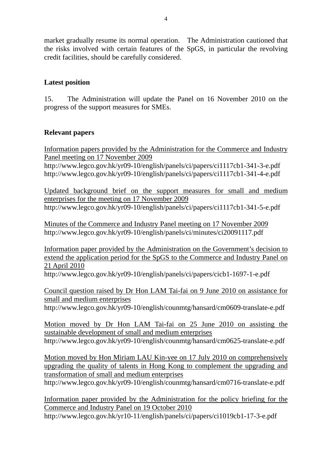market gradually resume its normal operation. The Administration cautioned that the risks involved with certain features of the SpGS, in particular the revolving credit facilities, should be carefully considered.

# **Latest position**

15. The Administration will update the Panel on 16 November 2010 on the progress of the support measures for SMEs.

# **Relevant papers**

Information papers provided by the Administration for the Commerce and Industry Panel meeting on 17 November 2009 http://www.legco.gov.hk/yr09-10/english/panels/ci/papers/ci1117cb1-341-3-e.pdf http://www.legco.gov.hk/yr09-10/english/panels/ci/papers/ci1117cb1-341-4-e.pdf

Updated background brief on the support measures for small and medium enterprises for the meeting on 17 November 2009 http://www.legco.gov.hk/yr09-10/english/panels/ci/papers/ci1117cb1-341-5-e.pdf

Minutes of the Commerce and Industry Panel meeting on 17 November 2009 http://www.legco.gov.hk/yr09-10/english/panels/ci/minutes/ci20091117.pdf

Information paper provided by the Administration on the Government's decision to extend the application period for the SpGS to the Commerce and Industry Panel on 21 April 2010

http://www.legco.gov.hk/yr09-10/english/panels/ci/papers/cicb1-1697-1-e.pdf

Council question raised by Dr Hon LAM Tai-fai on 9 June 2010 on assistance for small and medium enterprises

http://www.legco.gov.hk/yr09-10/english/counmtg/hansard/cm0609-translate-e.pdf

Motion moved by Dr Hon LAM Tai-fai on 25 June 2010 on assisting the sustainable development of small and medium enterprises http://www.legco.gov.hk/yr09-10/english/counmtg/hansard/cm0625-translate-e.pdf

Motion moved by Hon Miriam LAU Kin-yee on 17 July 2010 on comprehensively upgrading the quality of talents in Hong Kong to complement the upgrading and transformation of small and medium enterprises

http://www.legco.gov.hk/yr09-10/english/counmtg/hansard/cm0716-translate-e.pdf

Information paper provided by the Administration for the policy briefing for the Commerce and Industry Panel on 19 October 2010 http://www.legco.gov.hk/yr10-11/english/panels/ci/papers/ci1019cb1-17-3-e.pdf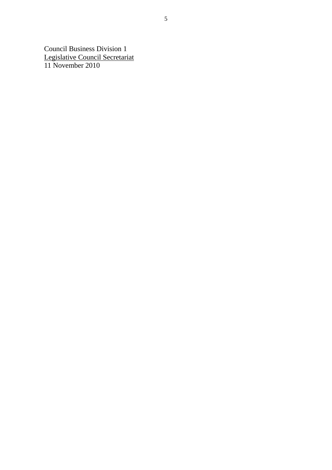Council Business Division 1 Legislative Council Secretariat 11 November 2010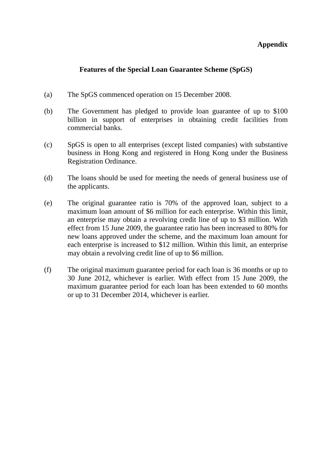## **Appendix**

# **Features of the Special Loan Guarantee Scheme (SpGS)**

- (a) The SpGS commenced operation on 15 December 2008.
- (b) The Government has pledged to provide loan guarantee of up to \$100 billion in support of enterprises in obtaining credit facilities from commercial banks.
- (c) SpGS is open to all enterprises (except listed companies) with substantive business in Hong Kong and registered in Hong Kong under the Business Registration Ordinance.
- (d) The loans should be used for meeting the needs of general business use of the applicants.
- (e) The original guarantee ratio is 70% of the approved loan, subject to a maximum loan amount of \$6 million for each enterprise. Within this limit, an enterprise may obtain a revolving credit line of up to \$3 million. With effect from 15 June 2009, the guarantee ratio has been increased to 80% for new loans approved under the scheme, and the maximum loan amount for each enterprise is increased to \$12 million. Within this limit, an enterprise may obtain a revolving credit line of up to \$6 million.
- (f) The original maximum guarantee period for each loan is 36 months or up to 30 June 2012, whichever is earlier. With effect from 15 June 2009, the maximum guarantee period for each loan has been extended to 60 months or up to 31 December 2014, whichever is earlier.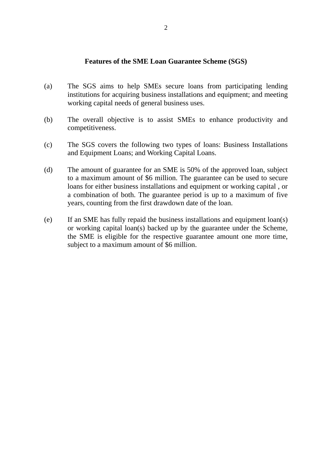#### **Features of the SME Loan Guarantee Scheme (SGS)**

- (a) The SGS aims to help SMEs secure loans from participating lending institutions for acquiring business installations and equipment; and meeting working capital needs of general business uses.
- (b) The overall objective is to assist SMEs to enhance productivity and competitiveness.
- (c) The SGS covers the following two types of loans: Business Installations and Equipment Loans; and Working Capital Loans.
- (d) The amount of guarantee for an SME is 50% of the approved loan, subject to a maximum amount of \$6 million. The guarantee can be used to secure loans for either business installations and equipment or working capital , or a combination of both. The guarantee period is up to a maximum of five years, counting from the first drawdown date of the loan.
- (e) If an SME has fully repaid the business installations and equipment loan(s) or working capital loan(s) backed up by the guarantee under the Scheme, the SME is eligible for the respective guarantee amount one more time, subject to a maximum amount of \$6 million.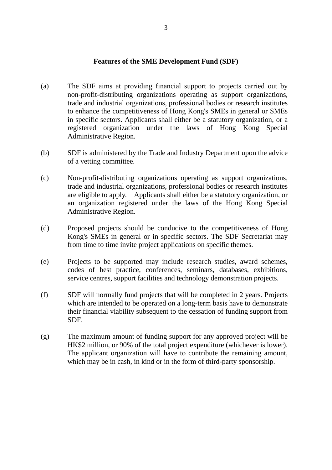#### **Features of the SME Development Fund (SDF)**

- (a) The SDF aims at providing financial support to projects carried out by non-profit-distributing organizations operating as support organizations, trade and industrial organizations, professional bodies or research institutes to enhance the competitiveness of Hong Kong's SMEs in general or SMEs in specific sectors. Applicants shall either be a statutory organization, or a registered organization under the laws of Hong Kong Special Administrative Region.
- (b) SDF is administered by the Trade and Industry Department upon the advice of a vetting committee.
- (c) Non-profit-distributing organizations operating as support organizations, trade and industrial organizations, professional bodies or research institutes are eligible to apply. Applicants shall either be a statutory organization, or an organization registered under the laws of the Hong Kong Special Administrative Region.
- (d) Proposed projects should be conducive to the competitiveness of Hong Kong's SMEs in general or in specific sectors. The SDF Secretariat may from time to time invite project applications on specific themes.
- (e) Projects to be supported may include research studies, award schemes, codes of best practice, conferences, seminars, databases, exhibitions, service centres, support facilities and technology demonstration projects.
- (f) SDF will normally fund projects that will be completed in 2 years. Projects which are intended to be operated on a long-term basis have to demonstrate their financial viability subsequent to the cessation of funding support from SDF.
- (g) The maximum amount of funding support for any approved project will be HK\$2 million, or 90% of the total project expenditure (whichever is lower). The applicant organization will have to contribute the remaining amount, which may be in cash, in kind or in the form of third-party sponsorship.